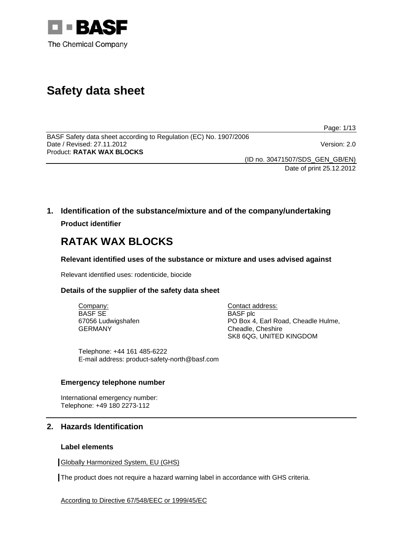

# **Safety data sheet**

Page: 1/13

BASF Safety data sheet according to Regulation (EC) No. 1907/2006 Date / Revised: 27.11.2012 Version: 2.0 Product: **RATAK WAX BLOCKS** 

(ID no. 30471507/SDS\_GEN\_GB/EN)

Date of print 25.12.2012

# **1. Identification of the substance/mixture and of the company/undertaking Product identifier**

# **RATAK WAX BLOCKS**

# **Relevant identified uses of the substance or mixture and uses advised against**

Relevant identified uses: rodenticide, biocide

# **Details of the supplier of the safety data sheet**

Company: BASF SE 67056 Ludwigshafen GERMANY

Contact address: BASF plc PO Box 4, Earl Road, Cheadle Hulme, Cheadle, Cheshire SK8 6QG, UNITED KINGDOM

Telephone: +44 161 485-6222 E-mail address: product-safety-north@basf.com

# **Emergency telephone number**

International emergency number: Telephone: +49 180 2273-112

# **2. Hazards Identification**

# **Label elements**

Globally Harmonized System, EU (GHS)

The product does not require a hazard warning label in accordance with GHS criteria.

According to Directive 67/548/EEC or 1999/45/EC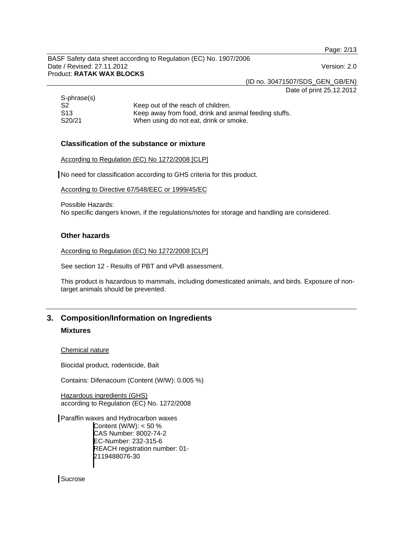Page: 2/13

BASF Safety data sheet according to Regulation (EC) No. 1907/2006 Date / Revised: 27.11.2012 Version: 2.0 Product: **RATAK WAX BLOCKS** 

(ID no. 30471507/SDS\_GEN\_GB/EN)

Date of print 25.12.2012

| S-phrase(s) |                                                       |
|-------------|-------------------------------------------------------|
| -S2         | Keep out of the reach of children.                    |
| -S13        | Keep away from food, drink and animal feeding stuffs. |
| S20/21      | When using do not eat, drink or smoke.                |

## **Classification of the substance or mixture**

According to Regulation (EC) No 1272/2008 [CLP]

No need for classification according to GHS criteria for this product.

According to Directive 67/548/EEC or 1999/45/EC

Possible Hazards:

No specific dangers known, if the regulations/notes for storage and handling are considered.

#### **Other hazards**

According to Regulation (EC) No 1272/2008 [CLP]

See section 12 - Results of PBT and vPvB assessment.

This product is hazardous to mammals, including domesticated animals, and birds. Exposure of nontarget animals should be prevented.

# **3. Composition/Information on Ingredients**

# **Mixtures**

#### Chemical nature

Biocidal product, rodenticide, Bait

Contains: Difenacoum (Content (W/W): 0.005 %)

Hazardous ingredients (GHS) according to Regulation (EC) No. 1272/2008

Paraffin waxes and Hydrocarbon waxes Content (W/W): < 50 % CAS Number: 8002-74-2 EC-Number: 232-315-6 REACH registration number: 01- 2119488076-30

**Sucrose**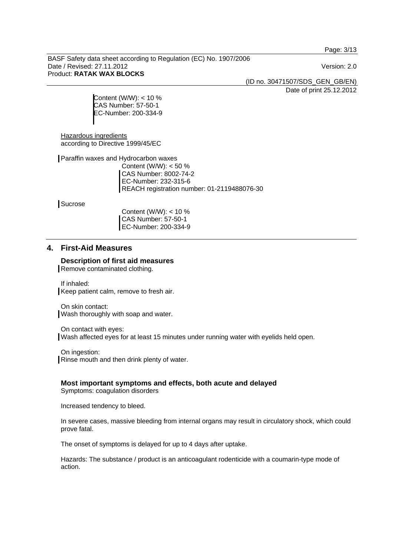Page: 3/13

BASF Safety data sheet according to Regulation (EC) No. 1907/2006 Date / Revised: 27.11.2012 Version: 2.0 Product: **RATAK WAX BLOCKS** 

(ID no. 30471507/SDS\_GEN\_GB/EN)

Date of print 25.12.2012

Content (W/W): < 10 % CAS Number: 57-50-1 EC-Number: 200-334-9

Hazardous ingredients according to Directive 1999/45/EC

Paraffin waxes and Hydrocarbon waxes Content (W/W): < 50 % CAS Number: 8002-74-2 EC-Number: 232-315-6 REACH registration number: 01-2119488076-30

**Sucrose** 

Content (W/W): < 10 % CAS Number: 57-50-1 EC-Number: 200-334-9

# **4. First-Aid Measures**

**Description of first aid measures** 

Remove contaminated clothing.

If inhaled: Keep patient calm, remove to fresh air.

On skin contact: Wash thoroughly with soap and water.

On contact with eyes: Wash affected eyes for at least 15 minutes under running water with eyelids held open.

On ingestion: Rinse mouth and then drink plenty of water.

**Most important symptoms and effects, both acute and delayed**  Symptoms: coagulation disorders

Increased tendency to bleed.

In severe cases, massive bleeding from internal organs may result in circulatory shock, which could prove fatal.

The onset of symptoms is delayed for up to 4 days after uptake.

Hazards: The substance / product is an anticoagulant rodenticide with a coumarin-type mode of action.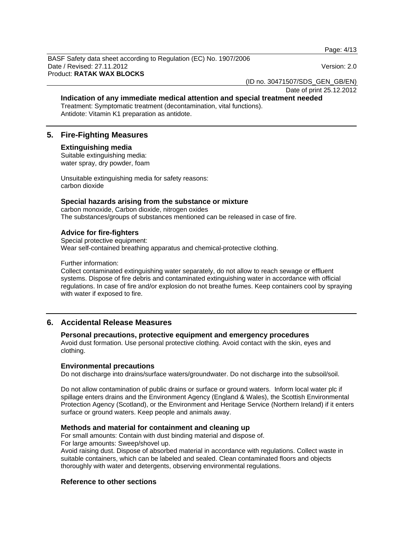Page: 4/13

BASF Safety data sheet according to Regulation (EC) No. 1907/2006 Date / Revised: 27.11.2012 Version: 2.0 Product: **RATAK WAX BLOCKS** 

(ID no. 30471507/SDS\_GEN\_GB/EN)

Date of print 25.12.2012

#### **Indication of any immediate medical attention and special treatment needed**  Treatment: Symptomatic treatment (decontamination, vital functions).

Antidote: Vitamin K1 preparation as antidote.

# **5. Fire-Fighting Measures**

#### **Extinguishing media**

Suitable extinguishing media: water spray, dry powder, foam

Unsuitable extinguishing media for safety reasons: carbon dioxide

#### **Special hazards arising from the substance or mixture**

carbon monoxide, Carbon dioxide, nitrogen oxides The substances/groups of substances mentioned can be released in case of fire.

## **Advice for fire-fighters**

Special protective equipment: Wear self-contained breathing apparatus and chemical-protective clothing.

Further information:

Collect contaminated extinguishing water separately, do not allow to reach sewage or effluent systems. Dispose of fire debris and contaminated extinguishing water in accordance with official regulations. In case of fire and/or explosion do not breathe fumes. Keep containers cool by spraying with water if exposed to fire.

# **6. Accidental Release Measures**

## **Personal precautions, protective equipment and emergency procedures**

Avoid dust formation. Use personal protective clothing. Avoid contact with the skin, eyes and clothing.

#### **Environmental precautions**

Do not discharge into drains/surface waters/groundwater. Do not discharge into the subsoil/soil.

Do not allow contamination of public drains or surface or ground waters. Inform local water plc if spillage enters drains and the Environment Agency (England & Wales), the Scottish Environmental Protection Agency (Scotland), or the Environment and Heritage Service (Northern Ireland) if it enters surface or ground waters. Keep people and animals away.

#### **Methods and material for containment and cleaning up**

For small amounts: Contain with dust binding material and dispose of.

For large amounts: Sweep/shovel up.

Avoid raising dust. Dispose of absorbed material in accordance with regulations. Collect waste in suitable containers, which can be labeled and sealed. Clean contaminated floors and objects thoroughly with water and detergents, observing environmental regulations.

#### **Reference to other sections**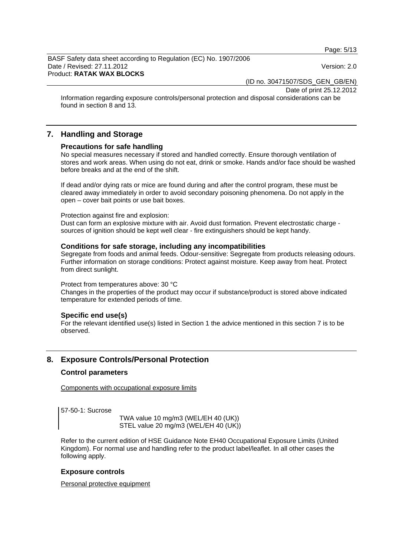Page: 5/13

BASF Safety data sheet according to Regulation (EC) No. 1907/2006 Date / Revised: 27.11.2012 Version: 2.0 Product: **RATAK WAX BLOCKS** 

(ID no. 30471507/SDS\_GEN\_GB/EN)

Date of print 25.12.2012

Information regarding exposure controls/personal protection and disposal considerations can be found in section 8 and 13.

# **7. Handling and Storage**

#### **Precautions for safe handling**

No special measures necessary if stored and handled correctly. Ensure thorough ventilation of stores and work areas. When using do not eat, drink or smoke. Hands and/or face should be washed before breaks and at the end of the shift.

If dead and/or dying rats or mice are found during and after the control program, these must be cleared away immediately in order to avoid secondary poisoning phenomena. Do not apply in the open – cover bait points or use bait boxes.

#### Protection against fire and explosion:

Dust can form an explosive mixture with air. Avoid dust formation. Prevent electrostatic charge sources of ignition should be kept well clear - fire extinguishers should be kept handy.

#### **Conditions for safe storage, including any incompatibilities**

Segregate from foods and animal feeds. Odour-sensitive: Segregate from products releasing odours. Further information on storage conditions: Protect against moisture. Keep away from heat. Protect from direct sunlight.

#### Protect from temperatures above: 30 °C

Changes in the properties of the product may occur if substance/product is stored above indicated temperature for extended periods of time.

#### **Specific end use(s)**

For the relevant identified use(s) listed in Section 1 the advice mentioned in this section 7 is to be observed.

# **8. Exposure Controls/Personal Protection**

#### **Control parameters**

Components with occupational exposure limits

57-50-1: Sucrose

 TWA value 10 mg/m3 (WEL/EH 40 (UK)) STEL value 20 mg/m3 (WEL/EH 40 (UK))

Refer to the current edition of HSE Guidance Note EH40 Occupational Exposure Limits (United Kingdom). For normal use and handling refer to the product label/leaflet. In all other cases the following apply.

#### **Exposure controls**

Personal protective equipment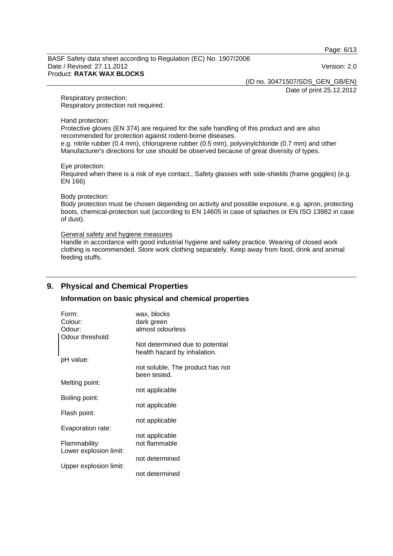Page: 6/13

BASF Safety data sheet according to Regulation (EC) No. 1907/2006 Date / Revised: 27.11.2012 Version: 2.0 Product: **RATAK WAX BLOCKS** 

(ID no. 30471507/SDS\_GEN\_GB/EN)

Date of print 25.12.2012

Respiratory protection: Respiratory protection not required.

Hand protection:

Protective gloves (EN 374) are required for the safe handling of this product and are also recommended for protection against rodent-borne diseases. e.g. nitrile rubber (0.4 mm), chloroprene rubber (0.5 mm), polyvinylchloride (0.7 mm) and other Manufacturer's directions for use should be observed because of great diversity of types.

Eye protection:

Required when there is a risk of eye contact., Safety glasses with side-shields (frame goggles) (e.g. EN 166)

Body protection:

Body protection must be chosen depending on activity and possible exposure, e.g. apron, protecting boots, chemical-protection suit (according to EN 14605 in case of splashes or EN ISO 13982 in case of dust).

#### General safety and hygiene measures

Handle in accordance with good industrial hygiene and safety practice. Wearing of closed work clothing is recommended. Store work clothing separately. Keep away from food, drink and animal feeding stuffs.

# **9. Physical and Chemical Properties**

#### **Information on basic physical and chemical properties**

| Form:                  | wax, blocks                      |
|------------------------|----------------------------------|
| Colour:                | dark green                       |
| Odour:                 | almost odourless                 |
| Odour threshold:       |                                  |
|                        | Not determined due to potential  |
|                        | health hazard by inhalation.     |
| pH value:              |                                  |
|                        | not soluble, The product has not |
|                        | been tested.                     |
| Melting point:         |                                  |
|                        | not applicable                   |
| Boiling point:         |                                  |
|                        | not applicable                   |
|                        |                                  |
| Flash point:           |                                  |
|                        | not applicable                   |
| Evaporation rate:      |                                  |
|                        | not applicable                   |
| Flammability:          | not flammable                    |
| Lower explosion limit: |                                  |
|                        | not determined                   |
| Upper explosion limit: |                                  |
|                        | not determined                   |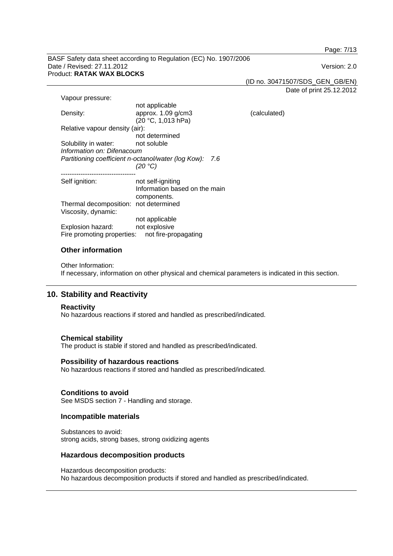Page: 7/13

BASF Safety data sheet according to Regulation (EC) No. 1907/2006 Date / Revised: 27.11.2012 Version: 2.0 Product: **RATAK WAX BLOCKS** 

(ID no. 30471507/SDS\_GEN\_GB/EN)

(calculated)

Date of print 25.12.2012

| Vapour pressure:                                           |                               |  |
|------------------------------------------------------------|-------------------------------|--|
|                                                            | not applicable                |  |
| Density:                                                   | approx. 1.09 g/cm3            |  |
|                                                            | (20 °C, 1,013 hPa)            |  |
| Relative vapour density (air):                             |                               |  |
|                                                            | not determined                |  |
| Solubility in water:                                       | not soluble                   |  |
| Information on: Difenacoum                                 |                               |  |
| Partitioning coefficient n-octanol/water (log Kow):<br>7.6 |                               |  |
|                                                            | (20 °C)                       |  |
|                                                            |                               |  |
| Self ignition:                                             | not self-igniting             |  |
|                                                            | Information based on the main |  |
|                                                            | components.                   |  |
| Thermal decomposition: not determined                      |                               |  |
| Viscosity, dynamic:                                        |                               |  |
|                                                            | not applicable                |  |
| Explosion hazard:                                          | not explosive                 |  |
| Fire promoting properties:                                 | not fire-propagating          |  |

#### **Other information**

Other Information: If necessary, information on other physical and chemical parameters is indicated in this section.

# **10. Stability and Reactivity**

#### **Reactivity**

No hazardous reactions if stored and handled as prescribed/indicated.

#### **Chemical stability**

The product is stable if stored and handled as prescribed/indicated.

#### **Possibility of hazardous reactions**

No hazardous reactions if stored and handled as prescribed/indicated.

#### **Conditions to avoid**

See MSDS section 7 - Handling and storage.

#### **Incompatible materials**

Substances to avoid: strong acids, strong bases, strong oxidizing agents

#### **Hazardous decomposition products**

Hazardous decomposition products: No hazardous decomposition products if stored and handled as prescribed/indicated.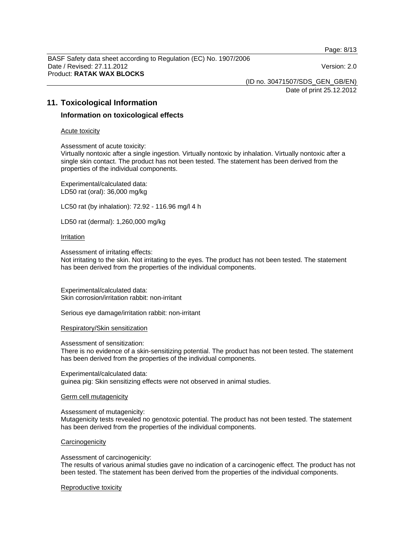Page: 8/13

BASF Safety data sheet according to Regulation (EC) No. 1907/2006 Date / Revised: 27.11.2012 Version: 2.0 Product: **RATAK WAX BLOCKS** 

(ID no. 30471507/SDS\_GEN\_GB/EN)

Date of print 25.12.2012

# **11. Toxicological Information**

#### **Information on toxicological effects**

#### Acute toxicity

Assessment of acute toxicity:

Virtually nontoxic after a single ingestion. Virtually nontoxic by inhalation. Virtually nontoxic after a single skin contact. The product has not been tested. The statement has been derived from the properties of the individual components.

Experimental/calculated data: LD50 rat (oral): 36,000 mg/kg

LC50 rat (by inhalation): 72.92 - 116.96 mg/l 4 h

LD50 rat (dermal): 1,260,000 mg/kg

#### Irritation

Assessment of irritating effects:

Not irritating to the skin. Not irritating to the eyes. The product has not been tested. The statement has been derived from the properties of the individual components.

Experimental/calculated data: Skin corrosion/irritation rabbit: non-irritant

Serious eye damage/irritation rabbit: non-irritant

Respiratory/Skin sensitization

Assessment of sensitization:

There is no evidence of a skin-sensitizing potential. The product has not been tested. The statement has been derived from the properties of the individual components.

Experimental/calculated data: guinea pig: Skin sensitizing effects were not observed in animal studies.

#### Germ cell mutagenicity

Assessment of mutagenicity:

Mutagenicity tests revealed no genotoxic potential. The product has not been tested. The statement has been derived from the properties of the individual components.

#### **Carcinogenicity**

Assessment of carcinogenicity:

The results of various animal studies gave no indication of a carcinogenic effect. The product has not been tested. The statement has been derived from the properties of the individual components.

#### Reproductive toxicity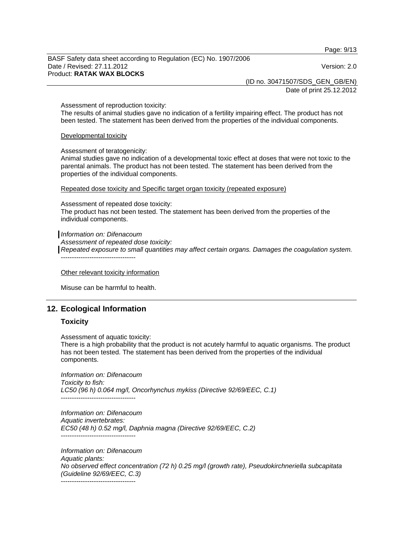Page: 9/13

BASF Safety data sheet according to Regulation (EC) No. 1907/2006 Date / Revised: 27.11.2012 Version: 2.0 Product: **RATAK WAX BLOCKS** 

(ID no. 30471507/SDS\_GEN\_GB/EN)

Date of print 25.12.2012

Assessment of reproduction toxicity:

The results of animal studies gave no indication of a fertility impairing effect. The product has not been tested. The statement has been derived from the properties of the individual components.

Developmental toxicity

Assessment of teratogenicity:

Animal studies gave no indication of a developmental toxic effect at doses that were not toxic to the parental animals. The product has not been tested. The statement has been derived from the properties of the individual components.

Repeated dose toxicity and Specific target organ toxicity (repeated exposure)

Assessment of repeated dose toxicity: The product has not been tested. The statement has been derived from the properties of the individual components.

*Information on: Difenacoum* 

*Assessment of repeated dose toxicity: Repeated exposure to small quantities may affect certain organs. Damages the coagulation system.*  ----------------------------------

Other relevant toxicity information

Misuse can be harmful to health.

# **12. Ecological Information**

#### **Toxicity**

Assessment of aquatic toxicity:

There is a high probability that the product is not acutely harmful to aquatic organisms. The product has not been tested. The statement has been derived from the properties of the individual components.

*Information on: Difenacoum Toxicity to fish: LC50 (96 h) 0.064 mg/l, Oncorhynchus mykiss (Directive 92/69/EEC, C.1)*  ----------------------------------

*Information on: Difenacoum Aquatic invertebrates: EC50 (48 h) 0.52 mg/l, Daphnia magna (Directive 92/69/EEC, C.2)*  ----------------------------------

*Information on: Difenacoum Aquatic plants: No observed effect concentration (72 h) 0.25 mg/l (growth rate), Pseudokirchneriella subcapitata (Guideline 92/69/EEC, C.3)*  ----------------------------------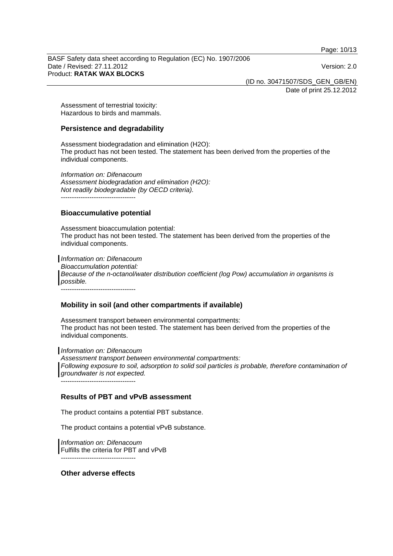Page: 10/13

BASF Safety data sheet according to Regulation (EC) No. 1907/2006 Date / Revised: 27.11.2012 Version: 2.0 Product: **RATAK WAX BLOCKS** 

(ID no. 30471507/SDS\_GEN\_GB/EN)

Date of print 25.12.2012

Assessment of terrestrial toxicity: Hazardous to birds and mammals.

#### **Persistence and degradability**

Assessment biodegradation and elimination (H2O): The product has not been tested. The statement has been derived from the properties of the individual components.

*Information on: Difenacoum Assessment biodegradation and elimination (H2O): Not readily biodegradable (by OECD criteria).*  ----------------------------------

#### **Bioaccumulative potential**

Assessment bioaccumulation potential: The product has not been tested. The statement has been derived from the properties of the individual components.

*Information on: Difenacoum Bioaccumulation potential: Because of the n-octanol/water distribution coefficient (log Pow) accumulation in organisms is possible.* 

----------------------------------

#### **Mobility in soil (and other compartments if available)**

Assessment transport between environmental compartments: The product has not been tested. The statement has been derived from the properties of the individual components.

*Information on: Difenacoum Assessment transport between environmental compartments:* Following exposure to soil, adsorption to solid soil particles is probable, therefore contamination of

*groundwater is not expected.* ----------------------------------

#### **Results of PBT and vPvB assessment**

The product contains a potential PBT substance.

The product contains a potential vPvB substance.

*Information on: Difenacoum*  Fulfills the criteria for PBT and vPvB *----------------------------------* 

**Other adverse effects**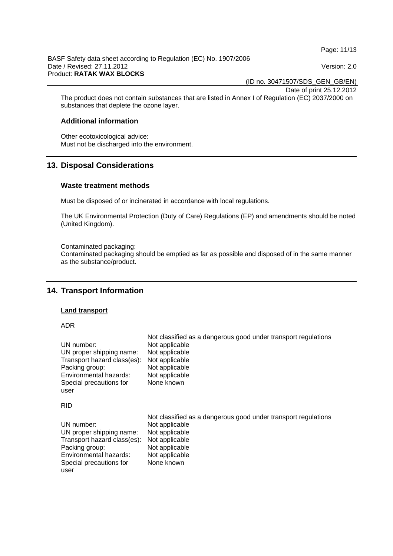Page: 11/13

BASF Safety data sheet according to Regulation (EC) No. 1907/2006 Date / Revised: 27.11.2012 Version: 2.0 Product: **RATAK WAX BLOCKS** 

(ID no. 30471507/SDS\_GEN\_GB/EN)

Date of print 25.12.2012

The product does not contain substances that are listed in Annex I of Regulation (EC) 2037/2000 on substances that deplete the ozone layer.

## **Additional information**

Other ecotoxicological advice: Must not be discharged into the environment.

# **13. Disposal Considerations**

#### **Waste treatment methods**

Must be disposed of or incinerated in accordance with local regulations.

The UK Environmental Protection (Duty of Care) Regulations (EP) and amendments should be noted (United Kingdom).

#### Contaminated packaging:

Contaminated packaging should be emptied as far as possible and disposed of in the same manner as the substance/product.

# **14. Transport Information**

#### **Land transport**

ADR

| UN number:                  | Not classified as a dangerous good under transport regulations |
|-----------------------------|----------------------------------------------------------------|
| UN proper shipping name:    | Not applicable                                                 |
| Transport hazard class(es): | Not applicable                                                 |
| Packing group:              | Not applicable                                                 |
| Environmental hazards:      | Not applicable                                                 |
| Special precautions for     | Not applicable                                                 |
| user                        | None known                                                     |
| <b>RID</b>                  |                                                                |
| UN number:                  | Not classified as a dangerous good under transport regulations |
| UN proper shipping name:    | Not applicable                                                 |
| Transport hazard class(es): | Not applicable                                                 |
| Packing group:              | Not applicable                                                 |
| Environmental hazards:      | Not applicable                                                 |
| Special precautions for     | Not applicable                                                 |
| user                        | None known                                                     |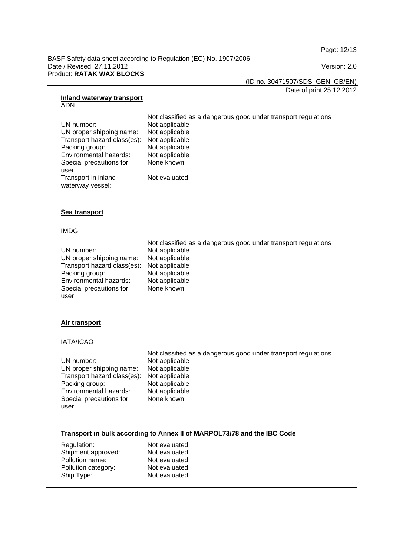Page: 12/13

BASF Safety data sheet according to Regulation (EC) No. 1907/2006 Date / Revised: 27.11.2012 Version: 2.0 Product: **RATAK WAX BLOCKS** 

(ID no. 30471507/SDS\_GEN\_GB/EN)

Date of print 25.12.2012

#### **Inland waterway transport** ADN

 Not classified as a dangerous good under transport regulations UN number: Not applicable UN proper shipping name: Not applicable<br>Transport hazard class(es): Not applicable Transport hazard class(es): Not applicable<br>Packing group: Not applicable Environmental hazards: Not applicable Special precautions for None known Not evaluated

#### **Sea transport**

Packing group:

Transport in inland waterway vessel:

#### IMDG

user

|                                            | Not classified as a dangerous good under transport regulations |
|--------------------------------------------|----------------------------------------------------------------|
| UN number:                                 | Not applicable                                                 |
| UN proper shipping name:                   | Not applicable                                                 |
| Transport hazard class(es): Not applicable |                                                                |
| Packing group:                             | Not applicable                                                 |
| Environmental hazards:                     | Not applicable                                                 |
| Special precautions for                    | None known                                                     |
| user                                       |                                                                |

#### **Air transport**

IATA/ICAO

|                             | Not classified as a dangerous good under transport regulations |
|-----------------------------|----------------------------------------------------------------|
| UN number:                  | Not applicable                                                 |
| UN proper shipping name:    | Not applicable                                                 |
| Transport hazard class(es): | Not applicable                                                 |
| Packing group:              | Not applicable                                                 |
| Environmental hazards:      | Not applicable                                                 |
| Special precautions for     | None known                                                     |
| user                        |                                                                |

#### **Transport in bulk according to Annex II of MARPOL73/78 and the IBC Code**

| Regulation:         | Not evaluated |
|---------------------|---------------|
| Shipment approved:  | Not evaluated |
| Pollution name:     | Not evaluated |
| Pollution category: | Not evaluated |
| Ship Type:          | Not evaluated |